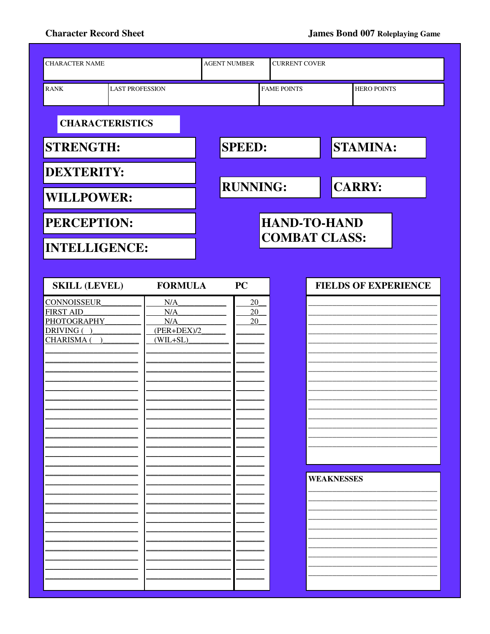## **Character Record Sheet**

| <b>CHARACTER NAME</b>                                                             | <b>AGENT NUMBER</b><br><b>CURRENT COVER</b>      |                                             |  |                   |                             |  |  |
|-----------------------------------------------------------------------------------|--------------------------------------------------|---------------------------------------------|--|-------------------|-----------------------------|--|--|
| <b>LAST PROFESSION</b><br><b>RANK</b>                                             |                                                  | <b>FAME POINTS</b>                          |  |                   | <b>HERO POINTS</b>          |  |  |
| <b>CHARACTERISTICS</b>                                                            |                                                  |                                             |  |                   |                             |  |  |
| <b>STRENGTH:</b>                                                                  |                                                  | <b>SPEED:</b>                               |  |                   | <b>STAMINA:</b>             |  |  |
| <b>DEXTERITY:</b>                                                                 |                                                  |                                             |  |                   | <b>CARRY:</b>               |  |  |
| <b>WILLPOWER:</b>                                                                 |                                                  | <b>RUNNING:</b>                             |  |                   |                             |  |  |
| <b>PERCEPTION:</b>                                                                |                                                  | <b>HAND-TO-HAND</b><br><b>COMBAT CLASS:</b> |  |                   |                             |  |  |
| <b>INTELLIGENCE:</b>                                                              |                                                  |                                             |  |                   |                             |  |  |
| <b>SKILL (LEVEL)</b>                                                              | <b>FORMULA</b>                                   | <b>PC</b>                                   |  |                   | <b>FIELDS OF EXPERIENCE</b> |  |  |
| <b>CONNOISSEUR</b><br><b>FIRST AID</b><br>PHOTOGRAPHY<br>DRIVING ()<br>CHARISMA ( | N/A<br>N/A<br>N/A<br>$(PER+DEX)/2$<br>$(WIL+SL)$ | 20<br>20<br>20                              |  | <b>WEAKNESSES</b> |                             |  |  |
|                                                                                   |                                                  |                                             |  |                   |                             |  |  |